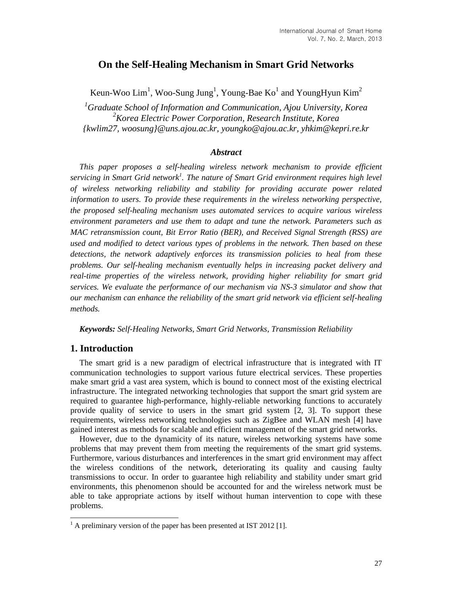# **On the Self-Healing Mechanism in Smart Grid Networks**

Keun-Woo Lim<sup>1</sup>, Woo-Sung Jung<sup>1</sup>, Young-Bae Ko<sup>1</sup> and YoungHyun Kim<sup>2</sup>

*<sup>1</sup>Graduate School of Information and Communication, Ajou University, Korea <sup>2</sup>Korea Electric Power Corporation, Research Institute, Korea {kwlim27, woosung}@uns.ajou.ac.kr, youngko@ajou.ac.kr, yhkim@kepri.re.kr*

### *Abstract*

*This paper proposes a self-healing wireless network mechanism to provide efficient servicing in Smart Grid network<sup>1</sup> . The nature of Smart Grid environment requires high level of wireless networking reliability and stability for providing accurate power related information to users. To provide these requirements in the wireless networking perspective, the proposed self-healing mechanism uses automated services to acquire various wireless environment parameters and use them to adapt and tune the network. Parameters such as MAC retransmission count, Bit Error Ratio (BER), and Received Signal Strength (RSS) are used and modified to detect various types of problems in the network. Then based on these detections, the network adaptively enforces its transmission policies to heal from these problems. Our self-healing mechanism eventually helps in increasing packet delivery and real-time properties of the wireless network, providing higher reliability for smart grid services. We evaluate the performance of our mechanism via NS-3 simulator and show that our mechanism can enhance the reliability of the smart grid network via efficient self-healing methods.*

*Keywords: Self-Healing Networks, Smart Grid Networks, Transmission Reliability*

# **1. Introduction**

l

The smart grid is a new paradigm of electrical infrastructure that is integrated with IT communication technologies to support various future electrical services. These properties make smart grid a vast area system, which is bound to connect most of the existing electrical infrastructure. The integrated networking technologies that support the smart grid system are required to guarantee high-performance, highly-reliable networking functions to accurately provide quality of service to users in the smart grid system [2, 3]. To support these requirements, wireless networking technologies such as ZigBee and WLAN mesh [4] have gained interest as methods for scalable and efficient management of the smart grid networks.

However, due to the dynamicity of its nature, wireless networking systems have some problems that may prevent them from meeting the requirements of the smart grid systems. Furthermore, various disturbances and interferences in the smart grid environment may affect the wireless conditions of the network, deteriorating its quality and causing faulty transmissions to occur. In order to guarantee high reliability and stability under smart grid environments, this phenomenon should be accounted for and the wireless network must be able to take appropriate actions by itself without human intervention to cope with these problems.

 $1$  A preliminary version of the paper has been presented at IST 2012 [1].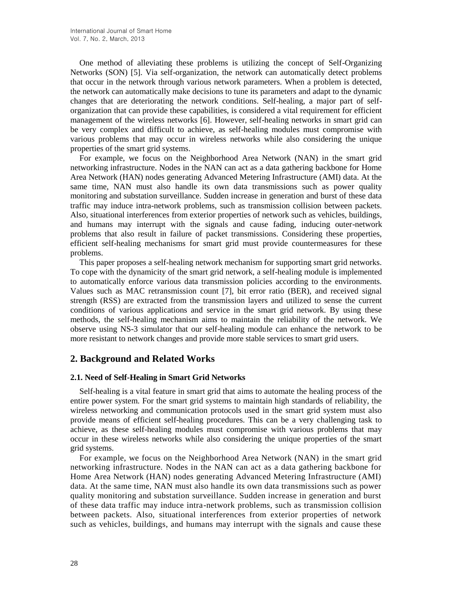One method of alleviating these problems is utilizing the concept of Self-Organizing Networks (SON) [5]. Via self-organization, the network can automatically detect problems that occur in the network through various network parameters. When a problem is detected, the network can automatically make decisions to tune its parameters and adapt to the dynamic changes that are deteriorating the network conditions. Self-healing, a major part of selforganization that can provide these capabilities, is considered a vital requirement for efficient management of the wireless networks [6]. However, self-healing networks in smart grid can be very complex and difficult to achieve, as self-healing modules must compromise with various problems that may occur in wireless networks while also considering the unique properties of the smart grid systems.

For example, we focus on the Neighborhood Area Network (NAN) in the smart grid networking infrastructure. Nodes in the NAN can act as a data gathering backbone for Home Area Network (HAN) nodes generating Advanced Metering Infrastructure (AMI) data. At the same time, NAN must also handle its own data transmissions such as power quality monitoring and substation surveillance. Sudden increase in generation and burst of these data traffic may induce intra-network problems, such as transmission collision between packets. Also, situational interferences from exterior properties of network such as vehicles, buildings, and humans may interrupt with the signals and cause fading, inducing outer-network problems that also result in failure of packet transmissions. Considering these properties, efficient self-healing mechanisms for smart grid must provide countermeasures for these problems.

This paper proposes a self-healing network mechanism for supporting smart grid networks. To cope with the dynamicity of the smart grid network, a self-healing module is implemented to automatically enforce various data transmission policies according to the environments. Values such as MAC retransmission count [7], bit error ratio (BER), and received signal strength (RSS) are extracted from the transmission layers and utilized to sense the current conditions of various applications and service in the smart grid network. By using these methods, the self-healing mechanism aims to maintain the reliability of the network. We observe using NS-3 simulator that our self-healing module can enhance the network to be more resistant to network changes and provide more stable services to smart grid users.

# **2. Background and Related Works**

# **2.1. Need of Self-Healing in Smart Grid Networks**

Self-healing is a vital feature in smart grid that aims to automate the healing process of the entire power system. For the smart grid systems to maintain high standards of reliability, the wireless networking and communication protocols used in the smart grid system must also provide means of efficient self-healing procedures. This can be a very challenging task to achieve, as these self-healing modules must compromise with various problems that may occur in these wireless networks while also considering the unique properties of the smart grid systems.

For example, we focus on the Neighborhood Area Network (NAN) in the smart grid networking infrastructure. Nodes in the NAN can act as a data gathering backbone for Home Area Network (HAN) nodes generating Advanced Metering Infrastructure (AMI) data. At the same time, NAN must also handle its own data transmissions such as power quality monitoring and substation surveillance. Sudden increase in generation and burst of these data traffic may induce intra-network problems, such as transmission collision between packets. Also, situational interferences from exterior properties of network such as vehicles, buildings, and humans may interrupt with the signals and cause these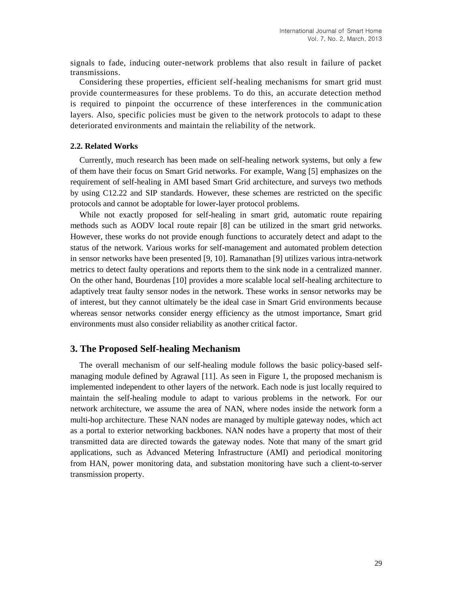signals to fade, inducing outer-network problems that also result in failure of packet transmissions.

Considering these properties, efficient self-healing mechanisms for smart grid must provide countermeasures for these problems. To do this, an accurate detection method is required to pinpoint the occurrence of these interferences in the communication layers. Also, specific policies must be given to the network protocols to adapt to these deteriorated environments and maintain the reliability of the network.

#### **2.2. Related Works**

Currently, much research has been made on self-healing network systems, but only a few of them have their focus on Smart Grid networks. For example, Wang [5] emphasizes on the requirement of self-healing in AMI based Smart Grid architecture, and surveys two methods by using C12.22 and SIP standards. However, these schemes are restricted on the specific protocols and cannot be adoptable for lower-layer protocol problems.

While not exactly proposed for self-healing in smart grid, automatic route repairing methods such as AODV local route repair [8] can be utilized in the smart grid networks. However, these works do not provide enough functions to accurately detect and adapt to the status of the network. Various works for self-management and automated problem detection in sensor networks have been presented [9, 10]. Ramanathan [9] utilizes various intra-network metrics to detect faulty operations and reports them to the sink node in a centralized manner. On the other hand, Bourdenas [10] provides a more scalable local self-healing architecture to adaptively treat faulty sensor nodes in the network. These works in sensor networks may be of interest, but they cannot ultimately be the ideal case in Smart Grid environments because whereas sensor networks consider energy efficiency as the utmost importance, Smart grid environments must also consider reliability as another critical factor.

### **3. The Proposed Self-healing Mechanism**

The overall mechanism of our self-healing module follows the basic policy-based selfmanaging module defined by Agrawal [11]. As seen in Figure 1, the proposed mechanism is implemented independent to other layers of the network. Each node is just locally required to maintain the self-healing module to adapt to various problems in the network. For our network architecture, we assume the area of NAN, where nodes inside the network form a multi-hop architecture. These NAN nodes are managed by multiple gateway nodes, which act as a portal to exterior networking backbones. NAN nodes have a property that most of their transmitted data are directed towards the gateway nodes. Note that many of the smart grid applications, such as Advanced Metering Infrastructure (AMI) and periodical monitoring from HAN, power monitoring data, and substation monitoring have such a client-to-server transmission property.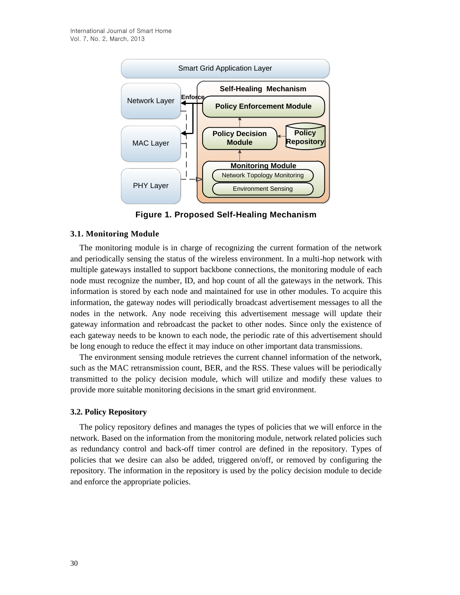

**Figure 1. Proposed Self-Healing Mechanism**

### **3.1. Monitoring Module**

The monitoring module is in charge of recognizing the current formation of the network and periodically sensing the status of the wireless environment. In a multi-hop network with multiple gateways installed to support backbone connections, the monitoring module of each node must recognize the number, ID, and hop count of all the gateways in the network. This information is stored by each node and maintained for use in other modules. To acquire this information, the gateway nodes will periodically broadcast advertisement messages to all the nodes in the network. Any node receiving this advertisement message will update their gateway information and rebroadcast the packet to other nodes. Since only the existence of each gateway needs to be known to each node, the periodic rate of this advertisement should be long enough to reduce the effect it may induce on other important data transmissions.

The environment sensing module retrieves the current channel information of the network, such as the MAC retransmission count, BER, and the RSS. These values will be periodically transmitted to the policy decision module, which will utilize and modify these values to provide more suitable monitoring decisions in the smart grid environment.

#### **3.2. Policy Repository**

The policy repository defines and manages the types of policies that we will enforce in the network. Based on the information from the monitoring module, network related policies such as redundancy control and back-off timer control are defined in the repository. Types of policies that we desire can also be added, triggered on/off, or removed by configuring the repository. The information in the repository is used by the policy decision module to decide and enforce the appropriate policies.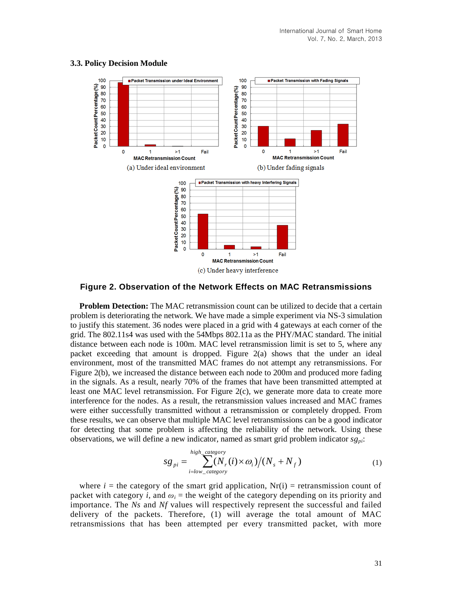

#### **3.3. Policy Decision Module**

**Figure 2. Observation of the Network Effects on MAC Retransmissions**

**Problem Detection:** The MAC retransmission count can be utilized to decide that a certain problem is deteriorating the network. We have made a simple experiment via NS-3 simulation to justify this statement. 36 nodes were placed in a grid with 4 gateways at each corner of the grid. The 802.11s4 was used with the 54Mbps 802.11a as the PHY/MAC standard. The initial distance between each node is 100m. MAC level retransmission limit is set to 5, where any packet exceeding that amount is dropped. Figure 2(a) shows that the under an ideal environment, most of the transmitted MAC frames do not attempt any retransmissions. For Figure 2(b), we increased the distance between each node to 200m and produced more fading in the signals. As a result, nearly 70% of the frames that have been transmitted attempted at least one MAC level retransmission. For Figure 2(c), we generate more data to create more interference for the nodes. As a result, the retransmission values increased and MAC frames were either successfully transmitted without a retransmission or completely dropped. From these results, we can observe that multiple MAC level retransmissions can be a good indicator for detecting that some problem is affecting the reliability of the network. Using these observations, we will define a new indicator, named as smart grid problem indicator *sgpi*:

$$
sg_{pi} = \sum_{i=low\_category}^{high\_category} (N_r(i) \times \omega_i) / (N_s + N_f)
$$
 (1)

where  $i =$  the category of the smart grid application,  $Nr(i) =$  retransmission count of packet with category *i*, and  $\omega_i$  = the weight of the category depending on its priority and importance. The *Ns* and *Nf* values will respectively represent the successful and failed delivery of the packets. Therefore, (1) will average the total amount of MAC retransmissions that has been attempted per every transmitted packet, with more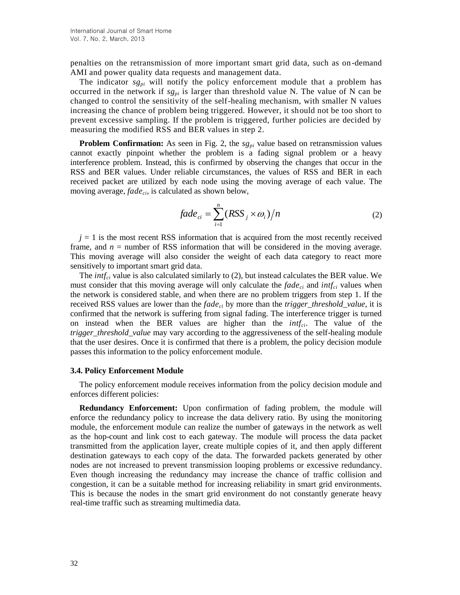penalties on the retransmission of more important smart grid data, such as on-demand AMI and power quality data requests and management data.

The indicator  $sg_{pi}$  will notify the policy enforcement module that a problem has occurred in the network if  $sg_{pi}$  is larger than threshold value N. The value of N can be changed to control the sensitivity of the self-healing mechanism, with smaller N values increasing the chance of problem being triggered. However, it should not be too short to prevent excessive sampling. If the problem is triggered, further policies are decided by measuring the modified RSS and BER values in step 2.

**Problem Confirmation:** As seen in Fig. 2, the  $sg_{pi}$  value based on retransmission values cannot exactly pinpoint whether the problem is a fading signal problem or a heavy interference problem. Instead, this is confirmed by observing the changes that occur in the RSS and BER values. Under reliable circumstances, the values of RSS and BER in each received packet are utilized by each node using the moving average of each value. The moving average, *fadeci*, is calculated as shown below,

$$
fade_{ci} = \sum_{i=1}^{n} (RSS_j \times \omega_i) / n
$$
 (2)

 $j = 1$  is the most recent RSS information that is acquired from the most recently received frame, and  $n =$  number of RSS information that will be considered in the moving average. This moving average will also consider the weight of each data category to react more sensitively to important smart grid data.

The *intfci* value is also calculated similarly to (2), but instead calculates the BER value. We must consider that this moving average will only calculate the *fadeci* and *intfci* values when the network is considered stable, and when there are no problem triggers from step 1. If the received RSS values are lower than the *fadeci* by more than the *trigger\_threshold\_value*, it is confirmed that the network is suffering from signal fading. The interference trigger is turned on instead when the BER values are higher than the *intfci*. The value of the *trigger threshold value* may vary according to the aggressiveness of the self-healing module that the user desires. Once it is confirmed that there is a problem, the policy decision module passes this information to the policy enforcement module.

#### **3.4. Policy Enforcement Module**

The policy enforcement module receives information from the policy decision module and enforces different policies:

**Redundancy Enforcement:** Upon confirmation of fading problem, the module will enforce the redundancy policy to increase the data delivery ratio. By using the monitoring module, the enforcement module can realize the number of gateways in the network as well as the hop-count and link cost to each gateway. The module will process the data packet transmitted from the application layer, create multiple copies of it, and then apply different destination gateways to each copy of the data. The forwarded packets generated by other nodes are not increased to prevent transmission looping problems or excessive redundancy. Even though increasing the redundancy may increase the chance of traffic collision and congestion, it can be a suitable method for increasing reliability in smart grid environments. This is because the nodes in the smart grid environment do not constantly generate heavy real-time traffic such as streaming multimedia data.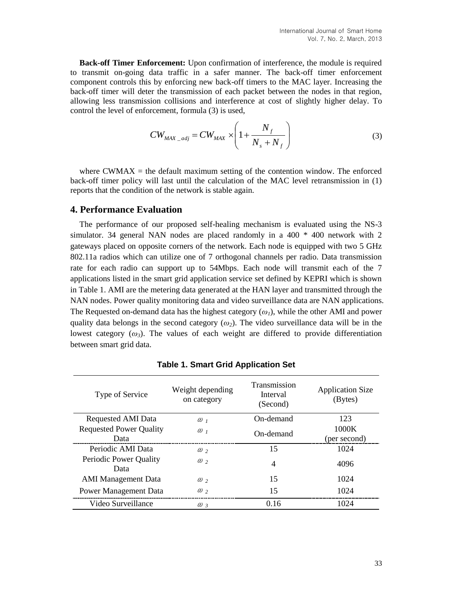**Back-off Timer Enforcement:** Upon confirmation of interference, the module is required to transmit on-going data traffic in a safer manner. The back-off timer enforcement component controls this by enforcing new back-off timers to the MAC layer. Increasing the back-off timer will deter the transmission of each packet between the nodes in that region, allowing less transmission collisions and interference at cost of slightly higher delay. To control the level of enforcement, formula (3) is used,

$$
CW_{MAX\_adj} = CW_{MAX} \times \left(1 + \frac{N_f}{N_s + N_f}\right)
$$
 (3)

where CWMAX  $=$  the default maximum setting of the contention window. The enforced back-off timer policy will last until the calculation of the MAC level retransmission in (1) reports that the condition of the network is stable again.

# **4. Performance Evaluation**

The performance of our proposed self-healing mechanism is evaluated using the NS-3 simulator. 34 general NAN nodes are placed randomly in a 400 \* 400 network with 2 gateways placed on opposite corners of the network. Each node is equipped with two 5 GHz 802.11a radios which can utilize one of 7 orthogonal channels per radio. Data transmission rate for each radio can support up to 54Mbps. Each node will transmit each of the 7 applications listed in the smart grid application service set defined by KEPRI which is shown in Table 1. AMI are the metering data generated at the HAN layer and transmitted through the NAN nodes. Power quality monitoring data and video surveillance data are NAN applications. The Requested on-demand data has the highest category (*ω1*), while the other AMI and power quality data belongs in the second category  $(\omega_2)$ . The video surveillance data will be in the lowest category  $(\omega_i)$ . The values of each weight are differed to provide differentiation between smart grid data.

| Type of Service                        | Weight depending<br>on category | Transmission<br>Interval<br>(Second) | <b>Application Size</b><br>(Bytes) |
|----------------------------------------|---------------------------------|--------------------------------------|------------------------------------|
| <b>Requested AMI Data</b>              | $\omega$ <sub>1</sub>           | On-demand                            | 123                                |
| <b>Requested Power Quality</b><br>Data | $\omega$ <sub>1</sub>           | On-demand                            | 1000K<br>(per second)              |
| Periodic AMI Data                      | $\omega$ <sub>2</sub>           | 15                                   | 1024                               |
| Periodic Power Quality<br>Data         | $\omega$ ,                      | $\overline{4}$                       | 4096                               |
| <b>AMI</b> Management Data             | $\omega$ <sub>2</sub>           | 15                                   | 1024                               |
| Power Management Data                  | $\omega$ ,                      | 15                                   | 1024                               |
| Video Surveillance                     | $\omega$ 3                      | 0.16                                 | 1024                               |

**Table 1. Smart Grid Application Set**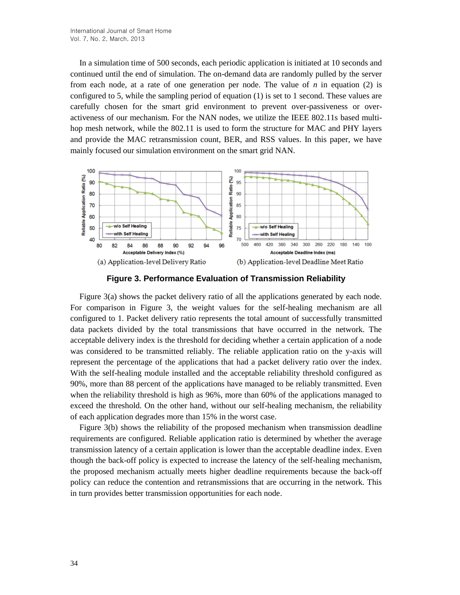In a simulation time of 500 seconds, each periodic application is initiated at 10 seconds and continued until the end of simulation. The on-demand data are randomly pulled by the server from each node, at a rate of one generation per node. The value of  $n$  in equation (2) is configured to 5, while the sampling period of equation (1) is set to 1 second. These values are carefully chosen for the smart grid environment to prevent over-passiveness or overactiveness of our mechanism. For the NAN nodes, we utilize the IEEE 802.11s based multihop mesh network, while the 802.11 is used to form the structure for MAC and PHY layers and provide the MAC retransmission count, BER, and RSS values. In this paper, we have mainly focused our simulation environment on the smart grid NAN.



**Figure 3. Performance Evaluation of Transmission Reliability**

Figure 3(a) shows the packet delivery ratio of all the applications generated by each node. For comparison in Figure 3, the weight values for the self-healing mechanism are all configured to 1. Packet delivery ratio represents the total amount of successfully transmitted data packets divided by the total transmissions that have occurred in the network. The acceptable delivery index is the threshold for deciding whether a certain application of a node was considered to be transmitted reliably. The reliable application ratio on the y-axis will represent the percentage of the applications that had a packet delivery ratio over the index. With the self-healing module installed and the acceptable reliability threshold configured as 90%, more than 88 percent of the applications have managed to be reliably transmitted. Even when the reliability threshold is high as 96%, more than 60% of the applications managed to exceed the threshold. On the other hand, without our self-healing mechanism, the reliability of each application degrades more than 15% in the worst case.

Figure 3(b) shows the reliability of the proposed mechanism when transmission deadline requirements are configured. Reliable application ratio is determined by whether the average transmission latency of a certain application is lower than the acceptable deadline index. Even though the back-off policy is expected to increase the latency of the self-healing mechanism, the proposed mechanism actually meets higher deadline requirements because the back-off policy can reduce the contention and retransmissions that are occurring in the network. This in turn provides better transmission opportunities for each node.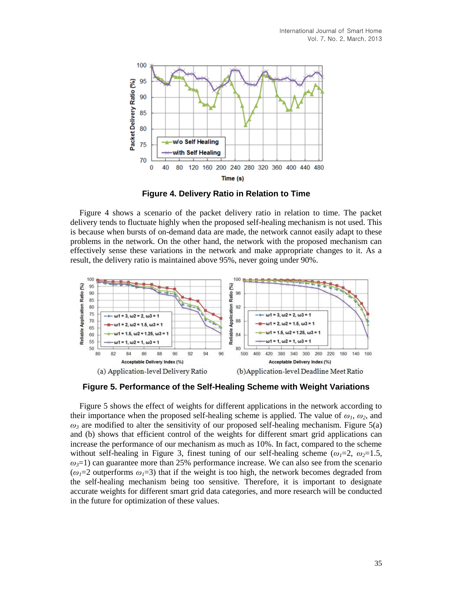

**Figure 4. Delivery Ratio in Relation to Time**

Figure 4 shows a scenario of the packet delivery ratio in relation to time. The packet delivery tends to fluctuate highly when the proposed self-healing mechanism is not used. This is because when bursts of on-demand data are made, the network cannot easily adapt to these problems in the network. On the other hand, the network with the proposed mechanism can effectively sense these variations in the network and make appropriate changes to it. As a result, the delivery ratio is maintained above 95%, never going under 90%.



**Figure 5. Performance of the Self-Healing Scheme with Weight Variations**

Figure 5 shows the effect of weights for different applications in the network according to their importance when the proposed self-healing scheme is applied. The value of  $\omega_1$ ,  $\omega_2$ , and  $\omega_3$  are modified to alter the sensitivity of our proposed self-healing mechanism. Figure 5(a) and (b) shows that efficient control of the weights for different smart grid applications can increase the performance of our mechanism as much as 10%. In fact, compared to the scheme without self-healing in Figure 3, finest tuning of our self-healing scheme ( $\omega_1=2$ ,  $\omega_2=1.5$ ,  $\omega_3=1$ ) can guarantee more than 25% performance increase. We can also see from the scenario  $(\omega_1=2)$  outperforms  $\omega_1=3$ ) that if the weight is too high, the network becomes degraded from the self-healing mechanism being too sensitive. Therefore, it is important to designate accurate weights for different smart grid data categories, and more research will be conducted in the future for optimization of these values.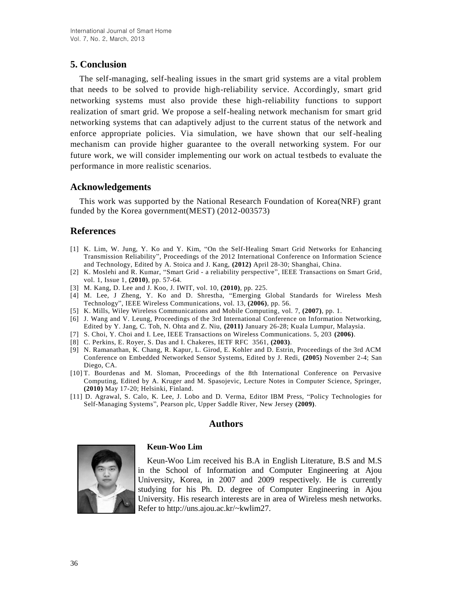# **5. Conclusion**

The self-managing, self-healing issues in the smart grid systems are a vital problem that needs to be solved to provide high-reliability service. Accordingly, smart grid networking systems must also provide these high-reliability functions to support realization of smart grid. We propose a self-healing network mechanism for smart grid networking systems that can adaptively adjust to the current status of the network and enforce appropriate policies. Via simulation, we have shown that our self-healing mechanism can provide higher guarantee to the overall networking system. For our future work, we will consider implementing our work on actual testbeds to evaluate the performance in more realistic scenarios.

# **Acknowledgements**

This work was supported by the National Research Foundation of Korea(NRF) grant funded by the Korea government(MEST) (2012-003573)

# **References**

- [1] K. Lim, W. Jung, Y. Ko and Y. Kim, "On the Self-Healing Smart Grid Networks for Enhancing Transmission Reliability", Proceedings of the 2012 International Conference on Information Science and Technology, Edited by A. Stoica and J. Kang, **(2012)** April 28-30; Shanghai, China.
- [2] K. Moslehi and R. Kumar, "Smart Grid a reliability perspective", IEEE Transactions on Smart Grid, vol. 1, Issue 1, **(2010)**, pp. 57-64.
- [3] M. Kang, D. Lee and J. Koo, J. IWIT, vol. 10, **(2010)**, pp. 225.
- [4] M. Lee, J Zheng, Y. Ko and D. Shrestha, "Emerging Global Standards for Wireless Mesh Technology", IEEE Wireless Communications, vol. 13, **(2006)**, pp. 56.
- [5] K. Mills, Wiley Wireless Communications and Mobile Computing, vol. 7, **(2007)**, pp. 1.
- [6] J. Wang and V. Leung, Proceedings of the 3rd International Conference on Information Networking, Edited by Y. Jang, C. Toh, N. Ohta and Z. Niu, **(2011)** January 26-28; Kuala Lumpur, Malaysia.
- [7] S. Choi, Y. Choi and I. Lee, IEEE Transactions on Wireless Communications. 5, 203 **(2006)**.
- [8] C. Perkins, E. Royer, S. Das and I. Chakeres, IETF RFC 3561, **(2003)**.
- [9] N. Ramanathan, K. Chang, R. Kapur, L. Girod, E. Kohler and D. Estrin, Proceedings of the 3rd ACM Conference on Embedded Networked Sensor Systems, Edited by J. Redi, **(2005)** November 2-4; San Diego, CA.
- [10] T. Bourdenas and M. Sloman, Proceedings of the 8th International Conference on Pervasive Computing, Edited by A. Kruger and M. Spasojevic, Lecture Notes in Computer Science, Springer, **(2010)** May 17-20; Helsinki, Finland.
- [11] D. Agrawal, S. Calo, K. Lee, J. Lobo and D. Verma, Editor IBM Press, "Policy Technologies for Self-Managing Systems", Pearson plc, Upper Saddle River, New Jersey **(2009)**.

# **Authors**



# **Keun-Woo Lim**

Keun-Woo Lim received his B.A in English Literature, B.S and M.S in the School of Information and Computer Engineering at Ajou University, Korea, in 2007 and 2009 respectively. He is currently studying for his Ph. D. degree of Computer Engineering in Ajou University. His research interests are in area of Wireless mesh networks. Refer to http://uns.ajou.ac.kr/~kwlim27.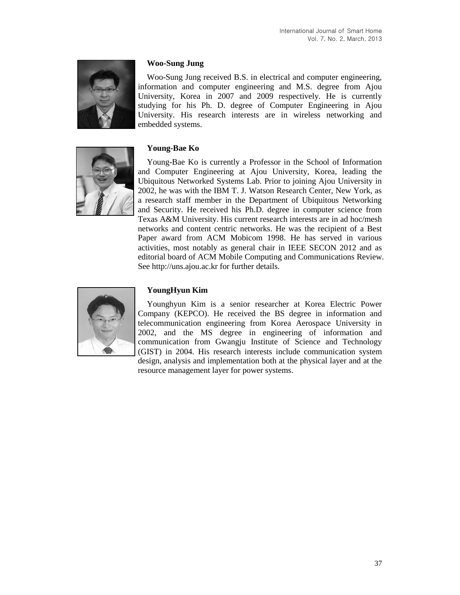

### **Woo-Sung Jung**

Woo-Sung Jung received B.S. in electrical and computer engineering, information and computer engineering and M.S. degree from Ajou University, Korea in 2007 and 2009 respectively. He is currently studying for his Ph. D. degree of Computer Engineering in Ajou University. His research interests are in wireless networking and embedded systems.

# **Young-Bae Ko**



Young-Bae Ko is currently a Professor in the School of Information and Computer Engineering at Ajou University, Korea, leading the Ubiquitous Networked Systems Lab. Prior to joining Ajou University in 2002, he was with the IBM T. J. Watson Research Center, New York, as a research staff member in the Department of Ubiquitous Networking and Security. He received his Ph.D. degree in computer science from Texas A&M University. His current research interests are in ad hoc/mesh networks and content centric networks. He was the recipient of a Best Paper award from ACM Mobicom 1998. He has served in various activities, most notably as general chair in IEEE SECON 2012 and as editorial board of ACM Mobile Computing and Communications Review. See http://uns.ajou.ac.kr for further details.



# **YoungHyun Kim**

Younghyun Kim is a senior researcher at Korea Electric Power Company (KEPCO). He received the BS degree in information and telecommunication engineering from Korea Aerospace University in 2002, and the MS degree in engineering of information and communication from Gwangju Institute of Science and Technology (GIST) in 2004. His research interests include communication system design, analysis and implementation both at the physical layer and at the resource management layer for power systems.